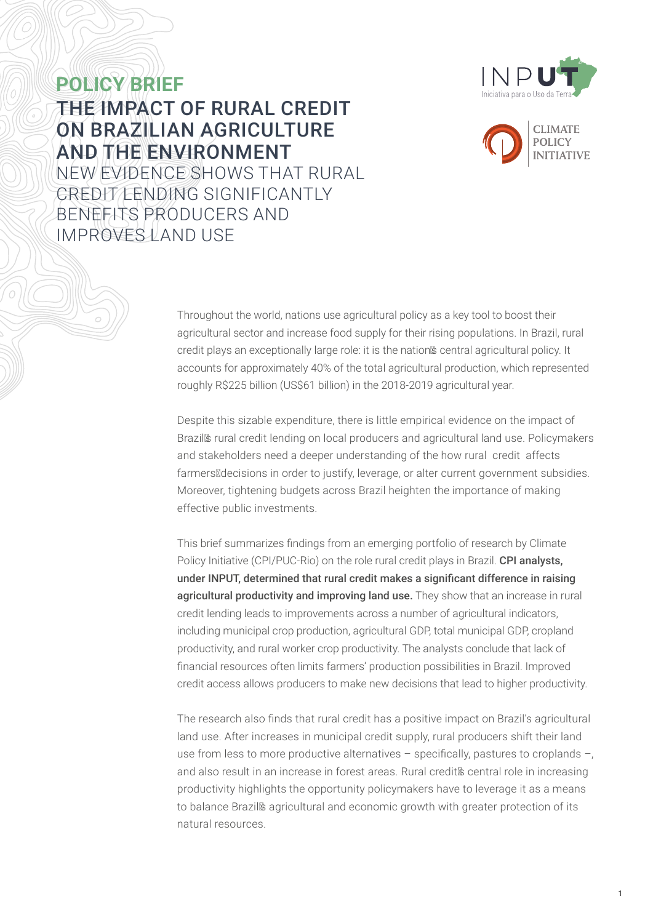



**POLICY BRIEF** THE IMPACT OF RURAL CREDIT ON BRAZILIAN AGRICULTURE AND THE ENVIRONMENT NEW EVIDENCE SHOWS THAT RURAL CREDIT LENDING SIGNIFICANTLY BENEFITS PRODUCERS AND IMPROVES LAND USE

> Throughout the world, nations use agricultural policy as a key tool to boost their agricultural sector and increase food supply for their rising populations. In Brazil, rural credit plays an exceptionally large role: it is the nation's central agricultural policy. It accounts for approximately 40% of the total agricultural production, which represented roughly R\$225 billion (US\$61 billion) in the 2018-2019 agricultural year.

> Despite this sizable expenditure, there is little empirical evidence on the impact of Brazil's rural credit lending on local producers and agricultural land use. Policymakers and stakeholders need a deeper understanding of the how rural credit affects farmers' decisions in order to justify, leverage, or alter current government subsidies. Moreover, tightening budgets across Brazil heighten the importance of making effective public investments.

This brief summarizes findings from an emerging portfolio of research by Climate Policy Initiative (CPI/PUC-Rio) on the role rural credit plays in Brazil. CPI analysts, under INPUT, determined that rural credit makes a significant difference in raising agricultural productivity and improving land use. They show that an increase in rural credit lending leads to improvements across a number of agricultural indicators, including municipal crop production, agricultural GDP, total municipal GDP, cropland productivity, and rural worker crop productivity. The analysts conclude that lack of financial resources often limits farmers' production possibilities in Brazil. Improved credit access allows producers to make new decisions that lead to higher productivity.

The research also finds that rural credit has a positive impact on Brazil's agricultural land use. After increases in municipal credit supply, rural producers shift their land use from less to more productive alternatives – specifically, pastures to croplands –, and also result in an increase in forest areas. Rural credit's central role in increasing productivity highlights the opportunity policymakers have to leverage it as a means to balance Brazil's agricultural and economic growth with greater protection of its natural resources.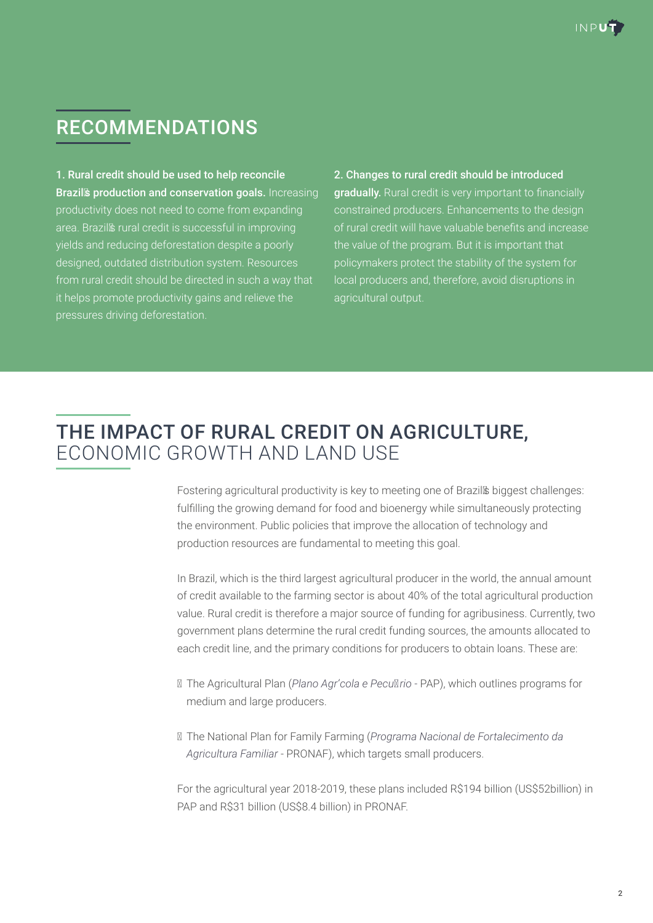# RECOMMENDATIONS

1. Rural credit should be used to help reconcile Brazil's production and conservation goals. Increasing productivity does not need to come from expanding area. Brazil's rural credit is successful in improving yields and reducing deforestation despite a poorly designed, outdated distribution system. Resources from rural credit should be directed in such a way that it helps promote productivity gains and relieve the pressures driving deforestation.

2. Changes to rural credit should be introduced gradually. Rural credit is very important to financially constrained producers. Enhancements to the design of rural credit will have valuable benefits and increase the value of the program. But it is important that policymakers protect the stability of the system for local producers and, therefore, avoid disruptions in agricultural output.

## THE IMPACT OF RURAL CREDIT ON AGRICULTURE, ECONOMIC GROWTH AND LAND USE

Fostering agricultural productivity is key to meeting one of Brazil's biggest challenges: fulfilling the growing demand for food and bioenergy while simultaneously protecting the environment. Public policies that improve the allocation of technology and production resources are fundamental to meeting this goal.

In Brazil, which is the third largest agricultural producer in the world, the annual amount of credit available to the farming sector is about 40% of the total agricultural production value. Rural credit is therefore a major source of funding for agribusiness. Currently, two government plans determine the rural credit funding sources, the amounts allocated to each credit line, and the primary conditions for producers to obtain loans. These are:

- The Agricultural Plan (*Plano Agrícola e Pecuário* PAP), which outlines programs for medium and large producers.
- The National Plan for Family Farming (*Programa Nacional de Fortalecimento da Agricultura Familiar* - PRONAF), which targets small producers.

For the agricultural year 2018-2019, these plans included R\$194 billion (US\$52billion) in PAP and R\$31 billion (US\$8.4 billion) in PRONAF.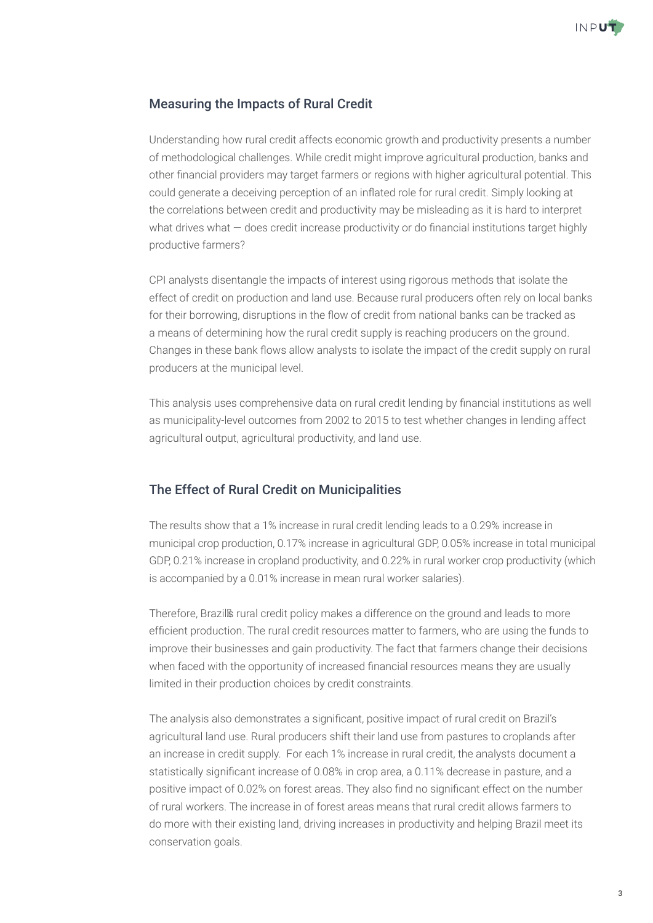

## Measuring the Impacts of Rural Credit

Understanding how rural credit affects economic growth and productivity presents a number of methodological challenges. While credit might improve agricultural production, banks and other financial providers may target farmers or regions with higher agricultural potential. This could generate a deceiving perception of an inflated role for rural credit. Simply looking at the correlations between credit and productivity may be misleading as it is hard to interpret what drives what – does credit increase productivity or do financial institutions target highly productive farmers?

CPI analysts disentangle the impacts of interest using rigorous methods that isolate the effect of credit on production and land use. Because rural producers often rely on local banks for their borrowing, disruptions in the flow of credit from national banks can be tracked as a means of determining how the rural credit supply is reaching producers on the ground. Changes in these bank flows allow analysts to isolate the impact of the credit supply on rural producers at the municipal level.

This analysis uses comprehensive data on rural credit lending by financial institutions as well as municipality-level outcomes from 2002 to 2015 to test whether changes in lending affect agricultural output, agricultural productivity, and land use.

## The Effect of Rural Credit on Municipalities

The results show that a 1% increase in rural credit lending leads to a 0.29% increase in municipal crop production, 0.17% increase in agricultural GDP, 0.05% increase in total municipal GDP, 0.21% increase in cropland productivity, and 0.22% in rural worker crop productivity (which is accompanied by a 0.01% increase in mean rural worker salaries).

Therefore, Brazil's rural credit policy makes a difference on the ground and leads to more efficient production. The rural credit resources matter to farmers, who are using the funds to improve their businesses and gain productivity. The fact that farmers change their decisions when faced with the opportunity of increased financial resources means they are usually limited in their production choices by credit constraints.

The analysis also demonstrates a significant, positive impact of rural credit on Brazil's agricultural land use. Rural producers shift their land use from pastures to croplands after an increase in credit supply. For each 1% increase in rural credit, the analysts document a statistically significant increase of 0.08% in crop area, a 0.11% decrease in pasture, and a positive impact of 0.02% on forest areas. They also find no significant effect on the number of rural workers. The increase in of forest areas means that rural credit allows farmers to do more with their existing land, driving increases in productivity and helping Brazil meet its conservation goals.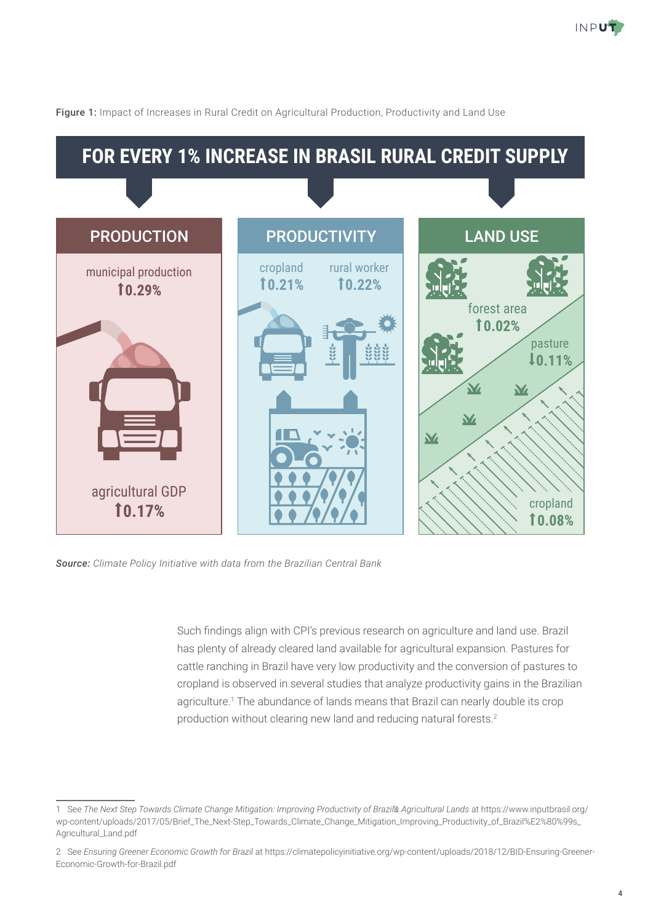



Figure 1: Impact of Increases in Rural Credit on Agricultural Production, Productivity and Land Use

*Source: Climate Policy Initiative with data from the Brazilian Central Bank*

Such findings align with CPI's previous research on agriculture and land use. Brazil has plenty of already cleared land available for agricultural expansion. Pastures for cattle ranching in Brazil have very low productivity and the conversion of pastures to cropland is observed in several studies that analyze productivity gains in the Brazilian agriculture.1 The abundance of lands means that Brazil can nearly double its crop production without clearing new land and reducing natural forests.2

<sup>1</sup> See *The Next Step Towards Climate Change Mitigation: Improving Productivity of Brazil's Agricultural Lands* at [https://www.inputbrasil.org/](https://www.inputbrasil.org/wp-content/uploads/2017/05/Brief_The_Next-Step_Towards_Climate_Change_Mitigation_Improving_Productivity_of_Brazil%E2%80%99s_Agricultural_Land.pdf) [wp-content/uploads/2017/05/Brief\\_The\\_Next-Step\\_Towards\\_Climate\\_Change\\_Mitigation\\_Improving\\_Productivity\\_of\\_Brazil%E2%80%99s\\_](https://www.inputbrasil.org/wp-content/uploads/2017/05/Brief_The_Next-Step_Towards_Climate_Change_Mitigation_Improving_Productivity_of_Brazil%E2%80%99s_Agricultural_Land.pdf) [Agricultural\\_Land.pdf](https://www.inputbrasil.org/wp-content/uploads/2017/05/Brief_The_Next-Step_Towards_Climate_Change_Mitigation_Improving_Productivity_of_Brazil%E2%80%99s_Agricultural_Land.pdf)

<sup>2</sup> See *[Ensuring Greener Economic Growth for Brazil](https://climatepolicyinitiative.org/publication/ensuring-greener-economic-growth-for-brazil/)* at [https://climatepolicyinitiative.org/wp-content/uploads/2018/12/BID-Ensuring-Greener-](https://climatepolicyinitiative.org/wp-content/uploads/2018/12/BID-Ensuring-Greener-Economic-Growth-for-Brazil.pdf)[Economic-Growth-for-Brazil.pdf](https://climatepolicyinitiative.org/wp-content/uploads/2018/12/BID-Ensuring-Greener-Economic-Growth-for-Brazil.pdf)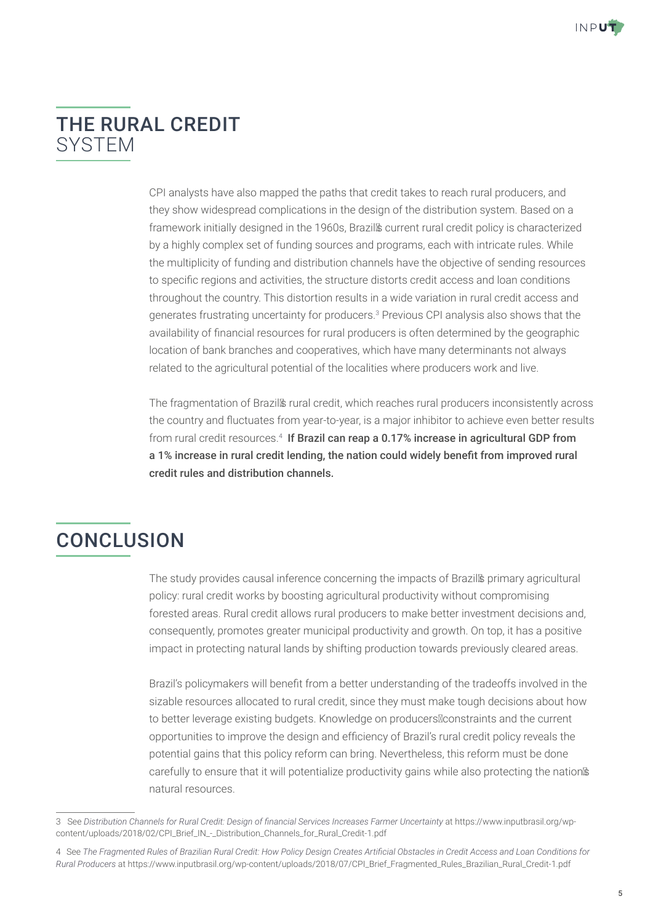## THE RURAL CREDIT **SYSTEM**

CPI analysts have also mapped the paths that credit takes to reach rural producers, and they show widespread complications in the design of the distribution system. Based on a framework initially designed in the 1960s, Brazil's current rural credit policy is characterized by a highly complex set of funding sources and programs, each with intricate rules. While the multiplicity of funding and distribution channels have the objective of sending resources to specific regions and activities, the structure distorts credit access and loan conditions throughout the country. This distortion results in a wide variation in rural credit access and generates frustrating uncertainty for producers.<sup>3</sup> Previous CPI analysis also shows that the availability of financial resources for rural producers is often determined by the geographic location of bank branches and cooperatives, which have many determinants not always related to the agricultural potential of the localities where producers work and live.

The fragmentation of Brazil's rural credit, which reaches rural producers inconsistently across the country and fluctuates from year-to-year, is a major inhibitor to achieve even better results from rural credit resources.<sup>4</sup> If Brazil can reap a 0.17% increase in agricultural GDP from a 1% increase in rural credit lending, the nation could widely benefit from improved rural credit rules and distribution channels.

# **CONCLUSION**

The study provides causal inference concerning the impacts of Brazil's primary agricultural policy: rural credit works by boosting agricultural productivity without compromising forested areas. Rural credit allows rural producers to make better investment decisions and, consequently, promotes greater municipal productivity and growth. On top, it has a positive impact in protecting natural lands by shifting production towards previously cleared areas.

Brazil's policymakers will benefit from a better understanding of the tradeoffs involved in the sizable resources allocated to rural credit, since they must make tough decisions about how to better leverage existing budgets. Knowledge on producers' constraints and the current opportunities to improve the design and efficiency of Brazil's rural credit policy reveals the potential gains that this policy reform can bring. Nevertheless, this reform must be done carefully to ensure that it will potentialize productivity gains while also protecting the nation's natural resources.

<sup>3</sup> See *Distribution Channels for Rural Credit: Design of financial Services Increases Farmer Uncertainty* at [https://www.inputbrasil.org/wp](https://www.inputbrasil.org/wp-content/uploads/2018/02/CPI_Brief_IN_-_Distribution_Channels_for_Rural_Credit-1.pdf)[content/uploads/2018/02/CPI\\_Brief\\_IN\\_-\\_Distribution\\_Channels\\_for\\_Rural\\_Credit-1.pdf](https://www.inputbrasil.org/wp-content/uploads/2018/02/CPI_Brief_IN_-_Distribution_Channels_for_Rural_Credit-1.pdf)

<sup>4</sup> See *The Fragmented Rules of Brazilian Rural Credit: How Policy Design Creates Artificial Obstacles in Credit Access and Loan Conditions for Rural Producers* at [https://www.inputbrasil.org/wp-content/uploads/2018/07/CPI\\_Brief\\_Fragmented\\_Rules\\_Brazilian\\_Rural\\_Credit-1.pdf](https://www.inputbrasil.org/wp-content/uploads/2018/07/CPI_Brief_Fragmented_Rules_Brazilian_Rural_Credit-1.pdf)